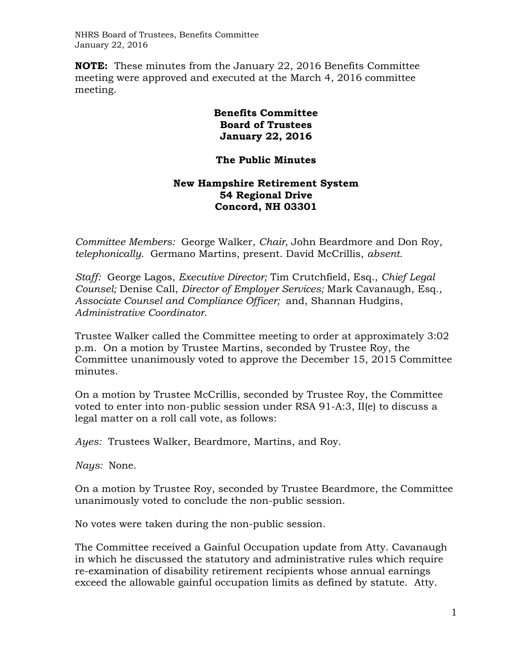NHRS Board of Trustees, Benefits Committee January 22, 2016

**NOTE:** These minutes from the January 22, 2016 Benefits Committee meeting were approved and executed at the March 4, 2016 committee meeting.

## **Benefits Committee Board of Trustees January 22, 2016**

## **The Public Minutes**

## **New Hampshire Retirement System 54 Regional Drive Concord, NH 03301**

*Committee Members:* George Walker, *Chair,* John Beardmore and Don Roy, *telephonically.* Germano Martins, present. David McCrillis, *absent.*

*Staff:* George Lagos, *Executive Director;* Tim Crutchfield, Esq., *Chief Legal Counsel;* Denise Call, *Director of Employer Services;* Mark Cavanaugh, Esq.*, Associate Counsel and Compliance Officer;* and, Shannan Hudgins, *Administrative Coordinator*.

Trustee Walker called the Committee meeting to order at approximately 3:02 p.m. On a motion by Trustee Martins, seconded by Trustee Roy, the Committee unanimously voted to approve the December 15, 2015 Committee minutes.

On a motion by Trustee McCrillis, seconded by Trustee Roy, the Committee voted to enter into non-public session under RSA 91-A:3, II(e) to discuss a legal matter on a roll call vote, as follows:

*Ayes:* Trustees Walker, Beardmore, Martins, and Roy.

*Nays:* None.

On a motion by Trustee Roy, seconded by Trustee Beardmore, the Committee unanimously voted to conclude the non-public session.

No votes were taken during the non-public session.

The Committee received a Gainful Occupation update from Atty. Cavanaugh in which he discussed the statutory and administrative rules which require re-examination of disability retirement recipients whose annual earnings exceed the allowable gainful occupation limits as defined by statute. Atty.